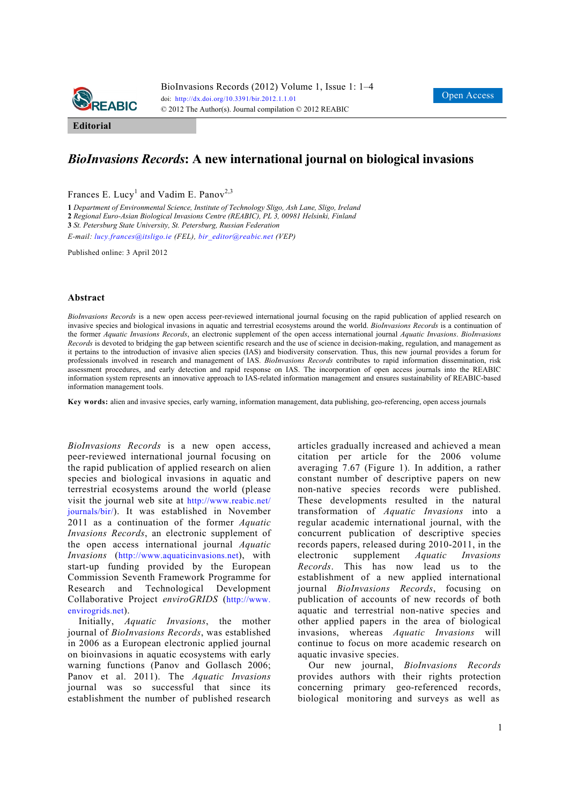

**Editorial** 

## *BioInvasions Records***: A new international journal on biological invasions**

Frances E. Lucy<sup>1</sup> and Vadim E. Panov<sup>2,3</sup>

**1** *Department of Environmental Science, Institute of Technology Sligo, Ash Lane, Sligo, Ireland*  **2** *Regional Euro-Asian Biological Invasions Centre (REABIC), PL 3, 00981 Helsinki, Finland*  **3** *St. Petersburg State University, St. Petersburg, Russian Federation* 

*E-mail: lucy.frances@itsligo.ie (FEL), bir\_editor@reabic.net (VEP)*

Published online: 3 April 2012

## **Abstract**

*BioInvasions Records* is a new open access peer-reviewed international journal focusing on the rapid publication of applied research on invasive species and biological invasions in aquatic and terrestrial ecosystems around the world. *BioInvasions Records* is a continuation of the former *Aquatic Invasions Records*, an electronic supplement of the open access international journal *Aquatic Invasions*. *BioInvasions Records* is devoted to bridging the gap between scientific research and the use of science in decision-making, regulation, and management as it pertains to the introduction of invasive alien species (IAS) and biodiversity conservation. Thus, this new journal provides a forum for professionals involved in research and management of IAS. *BioInvasions Records* contributes to rapid information dissemination, risk assessment procedures, and early detection and rapid response on IAS. The incorporation of open access journals into the REABIC information system represents an innovative approach to IAS-related information management and ensures sustainability of REABIC-based information management tools.

**Key words:** alien and invasive species, early warning, information management, data publishing, geo-referencing, open access journals

*BioInvasions Records* is a new open access, peer-reviewed international journal focusing on the rapid publication of applied research on alien species and biological invasions in aquatic and terrestrial ecosystems around the world (please visit the journal web site at http://www.reabic.net/ journals/bir/). It was established in November 2011 as a continuation of the former *Aquatic Invasions Records*, an electronic supplement of the open access international journal *Aquatic Invasions* (http://www.aquaticinvasions.net), with start-up funding provided by the European Commission Seventh Framework Programme for Research and Technological Development Collaborative Project *enviroGRIDS* (http://www. envirogrids.net).

Initially, *Aquatic Invasions*, the mother journal of *BioInvasions Records*, was established in 2006 as a European electronic applied journal on bioinvasions in aquatic ecosystems with early warning functions (Panov and Gollasch 2006; Panov et al. 2011). The *Aquatic Invasions* journal was so successful that since its establishment the number of published research articles gradually increased and achieved a mean citation per article for the 2006 volume averaging 7.67 (Figure 1). In addition, a rather constant number of descriptive papers on new non-native species records were published. These developments resulted in the natural transformation of *Aquatic Invasions* into a regular academic international journal, with the concurrent publication of descriptive species records papers, released during 2010-2011, in the electronic supplement *Aquatic Invasions Records*. This has now lead us to the establishment of a new applied international journal *BioInvasions Records*, focusing on publication of accounts of new records of both aquatic and terrestrial non-native species and other applied papers in the area of biological invasions, whereas *Aquatic Invasions* will continue to focus on more academic research on aquatic invasive species.

Our new journal, *BioInvasions Records* provides authors with their rights protection concerning primary geo-referenced records, biological monitoring and surveys as well as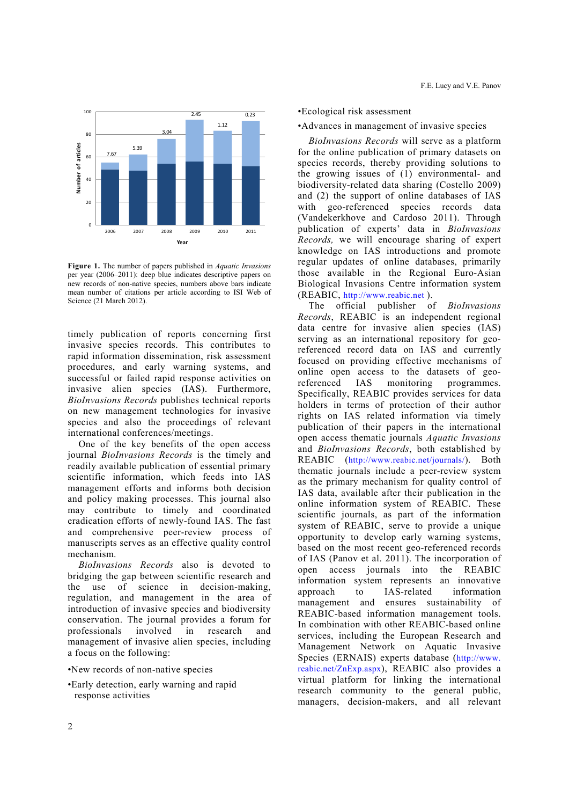

**Figure 1.** The number of papers published in *Aquatic Invasions* per year (2006–2011): deep blue indicates descriptive papers on new records of non-native species, numbers above bars indicate mean number of citations per article according to ISI Web of Science (21 March 2012).

timely publication of reports concerning first invasive species records. This contributes to rapid information dissemination, risk assessment procedures, and early warning systems, and successful or failed rapid response activities on invasive alien species (IAS). Furthermore, *BioInvasions Records* publishes technical reports on new management technologies for invasive species and also the proceedings of relevant international conferences/meetings.

One of the key benefits of the open access journal *BioInvasions Records* is the timely and readily available publication of essential primary scientific information, which feeds into IAS management efforts and informs both decision and policy making processes. This journal also may contribute to timely and coordinated eradication efforts of newly-found IAS. The fast and comprehensive peer-review process of manuscripts serves as an effective quality control mechanism.

*BioInvasions Records* also is devoted to bridging the gap between scientific research and the use of science in decision-making, regulation, and management in the area of introduction of invasive species and biodiversity conservation. The journal provides a forum for professionals involved in research and management of invasive alien species, including a focus on the following:

- •New records of non-native species
- •Early detection, early warning and rapid response activities

## •Ecological risk assessment

•Advances in management of invasive species

*BioInvasions Records* will serve as a platform for the online publication of primary datasets on species records, thereby providing solutions to the growing issues of (1) environmental- and biodiversity-related data sharing (Costello 2009) and (2) the support of online databases of IAS with geo-referenced species records data (Vandekerkhove and Cardoso 2011). Through publication of experts' data in *BioInvasions Records,* we will encourage sharing of expert knowledge on IAS introductions and promote regular updates of online databases, primarily those available in the Regional Euro-Asian Biological Invasions Centre information system (REABIC, http://www.reabic.net ).

The official publisher of *BioInvasions Records*, REABIC is an independent regional data centre for invasive alien species (IAS) serving as an international repository for georeferenced record data on IAS and currently focused on providing effective mechanisms of online open access to the datasets of georeferenced IAS monitoring programmes. Specifically, REABIC provides services for data holders in terms of protection of their author rights on IAS related information via timely publication of their papers in the international open access thematic journals *Aquatic Invasions* and *BioInvasions Records*, both established by REABIC (http://www.reabic.net/journals/). Both thematic journals include a peer-review system as the primary mechanism for quality control of IAS data, available after their publication in the online information system of REABIC. These scientific journals, as part of the information system of REABIC, serve to provide a unique opportunity to develop early warning systems, based on the most recent geo-referenced records of IAS (Panov et al. 2011). The incorporation of open access journals into the REABIC information system represents an innovative approach to IAS-related information management and ensures sustainability of REABIC-based information management tools. In combination with other REABIC-based online services, including the European Research and Management Network on Aquatic Invasive Species (ERNAIS) experts database (http://www. reabic.net/ZnExp.aspx), REABIC also provides a virtual platform for linking the international research community to the general public, managers, decision-makers, and all relevant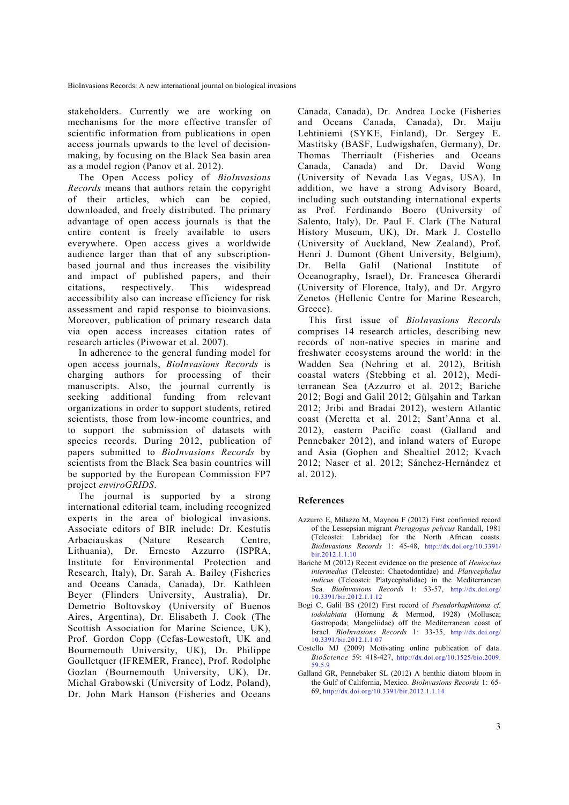stakeholders. Currently we are working on mechanisms for the more effective transfer of scientific information from publications in open access journals upwards to the level of decisionmaking, by focusing on the Black Sea basin area as a model region (Panov et al. 2012).

The Open Access policy of *BioInvasions Records* means that authors retain the copyright of their articles, which can be copied, downloaded, and freely distributed. The primary advantage of open access journals is that the entire content is freely available to users everywhere. Open access gives a worldwide audience larger than that of any subscriptionbased journal and thus increases the visibility and impact of published papers, and their citations, respectively. This widespread accessibility also can increase efficiency for risk assessment and rapid response to bioinvasions. Moreover, publication of primary research data via open access increases citation rates of research articles (Piwowar et al. 2007).

In adherence to the general funding model for open access journals, *BioInvasions Records* is charging authors for processing of their manuscripts. Also, the journal currently is seeking additional funding from relevant organizations in order to support students, retired scientists, those from low-income countries, and to support the submission of datasets with species records. During 2012, publication of papers submitted to *BioInvasions Records* by scientists from the Black Sea basin countries will be supported by the European Commission FP7 project *enviroGRIDS*.

The journal is supported by a strong international editorial team, including recognized experts in the area of biological invasions. Associate editors of BIR include: Dr. Kestutis Arbaciauskas (Nature Research Centre, Lithuania), Dr. Ernesto Azzurro (ISPRA, Institute for Environmental Protection and Research, Italy), Dr. Sarah A. Bailey (Fisheries and Oceans Canada, Canada), Dr. Kathleen Beyer (Flinders University, Australia), Dr. Demetrio Boltovskoy (University of Buenos Aires, Argentina), Dr. Elisabeth J. Cook (The Scottish Association for Marine Science, UK), Prof. Gordon Copp (Cefas-Lowestoft, UK and Bournemouth University, UK), Dr. Philippe Goulletquer (IFREMER, France), Prof. Rodolphe Gozlan (Bournemouth University, UK), Dr. Michal Grabowski (University of Lodz, Poland), Dr. John Mark Hanson (Fisheries and Oceans Canada, Canada), Dr. Andrea Locke (Fisheries and Oceans Canada, Canada), Dr. Maiju Lehtiniemi (SYKE, Finland), Dr. Sergey E. Mastitsky (BASF, Ludwigshafen, Germany), Dr. Thomas Therriault (Fisheries and Oceans Canada, Canada) and Dr. David Wong (University of Nevada Las Vegas, USA). In addition, we have a strong Advisory Board, including such outstanding international experts as Prof. Ferdinando Boero (University of Salento, Italy), Dr. Paul F. Clark (The Natural History Museum, UK), Dr. Mark J. Costello (University of Auckland, New Zealand), Prof. Henri J. Dumont (Ghent University, Belgium), Dr. Bella Galil (National Institute of Oceanography, Israel), Dr. Francesca Gherardi (University of Florence, Italy), and Dr. Argyro Zenetos (Hellenic Centre for Marine Research, Greece).

This first issue of *BioInvasions Records*  comprises 14 research articles, describing new records of non-native species in marine and freshwater ecosystems around the world: in the Wadden Sea (Nehring et al. 2012), British coastal waters (Stebbing et al. 2012), Mediterranean Sea (Azzurro et al. 2012; Bariche 2012; Bogi and Galil 2012; Gülşahin and Tarkan 2012; Jribi and Bradai 2012), western Atlantic coast (Meretta et al. 2012; Sant'Anna et al. 2012), eastern Pacific coast (Galland and Pennebaker 2012), and inland waters of Europe and Asia (Gophen and Shealtiel 2012; Kvach 2012; Naser et al. 2012; Sánchez-Hernández et al. 2012).

## **References**

- Azzurro E, Milazzo M, Maynou F (2012) First confirmed record of the Lessepsian migrant *Pteragogus pelycus* Randall, 1981 (Teleostei: Labridae) for the North African coasts. *BioInvasions Records* 1: 45-48, http://dx.doi.org/10.3391/ bir.2012.1.1.10
- Bariche M (2012) Recent evidence on the presence of *Heniochus intermedius* (Teleostei: Chaetodontidae) and *Platycephalus indicus* (Teleostei: Platycephalidae) in the Mediterranean Sea. *BioInvasions Records* 1: 53-57, http://dx.doi.org/ 10.3391/bir.2012.1.1.12
- Bogi C, Galil BS (2012) First record of *Pseudorhaphitoma cf. iodolabiata* (Hornung & Mermod, 1928) (Mollusca; Gastropoda; Mangeliidae) off the Mediterranean coast of Israel. *BioInvasions Records* 1: 33-35, http://dx.doi.org/ 10.3391/bir.2012.1.1.07
- Costello MJ (2009) Motivating online publication of data. *BioScience* 59: 418-427, http://dx.doi.org/10.1525/bio.2009. 59.5.9
- Galland GR, Pennebaker SL (2012) A benthic diatom bloom in the Gulf of California, Mexico. *BioInvasions Records* 1: 65- 69, http://dx.doi.org/10.3391/bir.2012.1.1.14